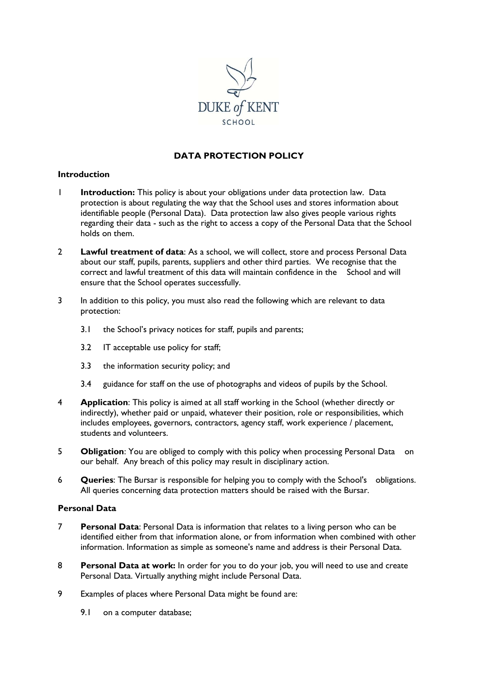

# **DATA PROTECTION POLICY**

## **Introduction**

- 1 **Introduction:** This policy is about your obligations under data protection law. Data protection is about regulating the way that the School uses and stores information about identifiable people (Personal Data). Data protection law also gives people various rights regarding their data - such as the right to access a copy of the Personal Data that the School holds on them.
- 2 **Lawful treatment of data**: As a school, we will collect, store and process Personal Data about our staff, pupils, parents, suppliers and other third parties. We recognise that the correct and lawful treatment of this data will maintain confidence in the School and will ensure that the School operates successfully.
- 3 In addition to this policy, you must also read the following which are relevant to data protection:
	- 3.1 the School's privacy notices for staff, pupils and parents;
	- 3.2 IT acceptable use policy for staff;
	- 3.3 the information security policy; and
	- 3.4 guidance for staff on the use of photographs and videos of pupils by the School.
- 4 **Application**: This policy is aimed at all staff working in the School (whether directly or indirectly), whether paid or unpaid, whatever their position, role or responsibilities, which includes employees, governors, contractors, agency staff, work experience / placement, students and volunteers.
- 5 **Obligation**: You are obliged to comply with this policy when processing Personal Data on our behalf. Any breach of this policy may result in disciplinary action.
- 6 **Queries**: The Bursar is responsible for helping you to comply with the School's obligations. All queries concerning data protection matters should be raised with the Bursar.

### **Personal Data**

- 7 **Personal Data**: Personal Data is information that relates to a living person who can be identified either from that information alone, or from information when combined with other information. Information as simple as someone's name and address is their Personal Data.
- 8 **Personal Data at work:** In order for you to do your job, you will need to use and create Personal Data. Virtually anything might include Personal Data.
- 9 Examples of places where Personal Data might be found are:
	- 9.1 on a computer database;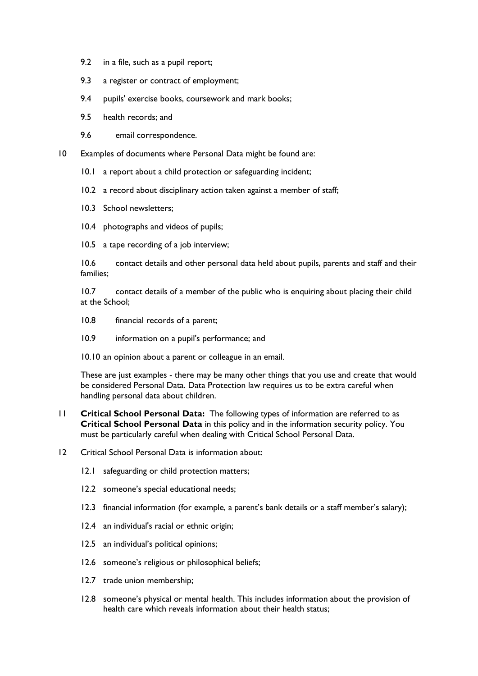- 9.2 in a file, such as a pupil report;
- 9.3 a register or contract of employment;
- 9.4 pupils' exercise books, coursework and mark books;
- 9.5 health records; and
- 9.6 email correspondence.

10 Examples of documents where Personal Data might be found are:

- 10.1 a report about a child protection or safeguarding incident;
- 10.2 a record about disciplinary action taken against a member of staff;
- 10.3 School newsletters;
- 10.4 photographs and videos of pupils;
- 10.5 a tape recording of a job interview;

10.6 contact details and other personal data held about pupils, parents and staff and their families;

10.7 contact details of a member of the public who is enquiring about placing their child at the School;

- 10.8 financial records of a parent;
- 10.9 information on a pupil's performance; and

10.10 an opinion about a parent or colleague in an email.

These are just examples - there may be many other things that you use and create that would be considered Personal Data. Data Protection law requires us to be extra careful when handling personal data about children.

- 11 **Critical School Personal Data:** The following types of information are referred to as **Critical School Personal Data** in this policy and in the information security policy. You must be particularly careful when dealing with Critical School Personal Data.
- 12 Critical School Personal Data is information about:
	- 12.1 safeguarding or child protection matters;
	- 12.2 someone's special educational needs;
	- 12.3 financial information (for example, a parent's bank details or a staff member's salary);
	- 12.4 an individual's racial or ethnic origin;
	- 12.5 an individual's political opinions;
	- 12.6 someone's religious or philosophical beliefs;
	- 12.7 trade union membership;
	- 12.8 someone's physical or mental health. This includes information about the provision of health care which reveals information about their health status;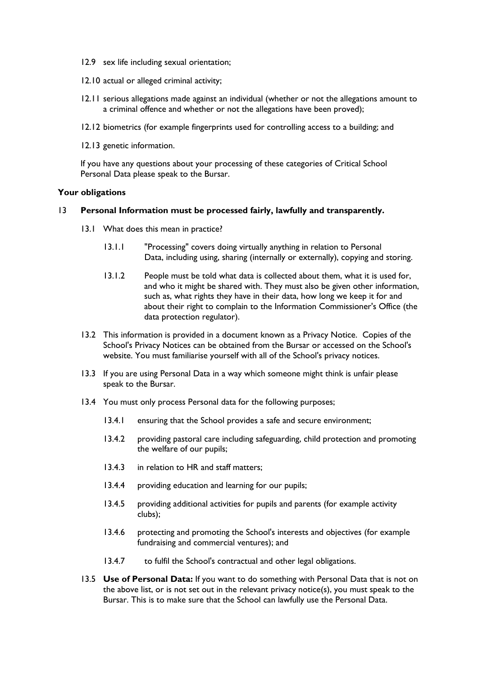- 12.9 sex life including sexual orientation;
- 12.10 actual or alleged criminal activity;
- 12.11 serious allegations made against an individual (whether or not the allegations amount to a criminal offence and whether or not the allegations have been proved);
- 12.12 biometrics (for example fingerprints used for controlling access to a building; and
- 12.13 genetic information.

If you have any questions about your processing of these categories of Critical School Personal Data please speak to the Bursar.

#### **Your obligations**

### 13 **Personal Information must be processed fairly, lawfully and transparently.**

- 13.1 What does this mean in practice?
	- 13.1.1 "Processing" covers doing virtually anything in relation to Personal Data, including using, sharing (internally or externally), copying and storing.
	- 13.1.2 People must be told what data is collected about them, what it is used for, and who it might be shared with. They must also be given other information, such as, what rights they have in their data, how long we keep it for and about their right to complain to the Information Commissioner's Office (the data protection regulator).
- 13.2 This information is provided in a document known as a Privacy Notice. Copies of the School's Privacy Notices can be obtained from the Bursar or accessed on the School's website. You must familiarise yourself with all of the School's privacy notices.
- 13.3 If you are using Personal Data in a way which someone might think is unfair please speak to the Bursar.
- 13.4 You must only process Personal data for the following purposes;
	- 13.4.1 ensuring that the School provides a safe and secure environment;
	- 13.4.2 providing pastoral care including safeguarding, child protection and promoting the welfare of our pupils;
	- 13.4.3 in relation to HR and staff matters:
	- 13.4.4 providing education and learning for our pupils;
	- 13.4.5 providing additional activities for pupils and parents (for example activity clubs);
	- 13.4.6 protecting and promoting the School's interests and objectives (for example fundraising and commercial ventures); and
	- 13.4.7 to fulfil the School's contractual and other legal obligations.
- 13.5 **Use of Personal Data:** If you want to do something with Personal Data that is not on the above list, or is not set out in the relevant privacy notice(s), you must speak to the Bursar. This is to make sure that the School can lawfully use the Personal Data.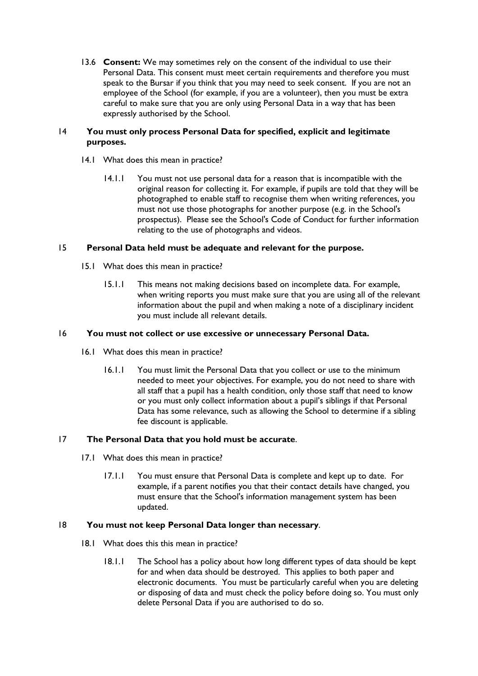13.6 **Consent:** We may sometimes rely on the consent of the individual to use their Personal Data. This consent must meet certain requirements and therefore you must speak to the Bursar if you think that you may need to seek consent. If you are not an employee of the School (for example, if you are a volunteer), then you must be extra careful to make sure that you are only using Personal Data in a way that has been expressly authorised by the School.

# 14 **You must only process Personal Data for specified, explicit and legitimate purposes.**

- 14.1 What does this mean in practice?
	- 14.1.1 You must not use personal data for a reason that is incompatible with the original reason for collecting it. For example, if pupils are told that they will be photographed to enable staff to recognise them when writing references, you must not use those photographs for another purpose (e.g. in the School's prospectus). Please see the School's Code of Conduct for further information relating to the use of photographs and videos.

# 15 **Personal Data held must be adequate and relevant for the purpose.**

- 15.1 What does this mean in practice?
	- 15.1.1 This means not making decisions based on incomplete data. For example, when writing reports you must make sure that you are using all of the relevant information about the pupil and when making a note of a disciplinary incident you must include all relevant details.

## 16 **You must not collect or use excessive or unnecessary Personal Data.**

- 16.1 What does this mean in practice?
	- 16.1.1 You must limit the Personal Data that you collect or use to the minimum needed to meet your objectives. For example, you do not need to share with all staff that a pupil has a health condition, only those staff that need to know or you must only collect information about a pupil's siblings if that Personal Data has some relevance, such as allowing the School to determine if a sibling fee discount is applicable.

# 17 **The Personal Data that you hold must be accurate**.

- 17.1 What does this mean in practice?
	- 17.1.1 You must ensure that Personal Data is complete and kept up to date. For example, if a parent notifies you that their contact details have changed, you must ensure that the School's information management system has been updated.

# 18 **You must not keep Personal Data longer than necessary**.

- 18.1 What does this this mean in practice?
	- 18.1.1 The School has a policy about how long different types of data should be kept for and when data should be destroyed. This applies to both paper and electronic documents. You must be particularly careful when you are deleting or disposing of data and must check the policy before doing so. You must only delete Personal Data if you are authorised to do so.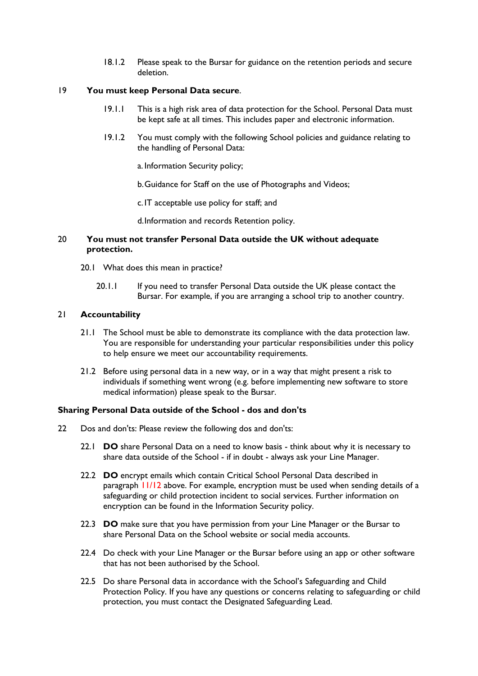18.1.2 Please speak to the Bursar for guidance on the retention periods and secure deletion.

## 19 **You must keep Personal Data secure**.

- 19.1.1 This is a high risk area of data protection for the School. Personal Data must be kept safe at all times. This includes paper and electronic information.
- 19.1.2 You must comply with the following School policies and guidance relating to the handling of Personal Data:

a. Information Security policy;

b.Guidance for Staff on the use of Photographs and Videos;

c. IT acceptable use policy for staff; and

d.Information and records Retention policy.

## 20 **You must not transfer Personal Data outside the UK without adequate protection.**

- 20.1 What does this mean in practice?
	- 20.1.1 If you need to transfer Personal Data outside the UK please contact the Bursar. For example, if you are arranging a school trip to another country.

### 21 **Accountability**

- 21.1 The School must be able to demonstrate its compliance with the data protection law. You are responsible for understanding your particular responsibilities under this policy to help ensure we meet our accountability requirements.
- 21.2 Before using personal data in a new way, or in a way that might present a risk to individuals if something went wrong (e.g. before implementing new software to store medical information) please speak to the Bursar.

### **Sharing Personal Data outside of the School - dos and don'ts**

- 22 Dos and don'ts: Please review the following dos and don'ts:
	- 22.1 **DO** share Personal Data on a need to know basis think about why it is necessary to share data outside of the School - if in doubt - always ask your Line Manager.
	- 22.2 **DO** encrypt emails which contain Critical School Personal Data described in paragraph 11/12 above. For example, encryption must be used when sending details of a safeguarding or child protection incident to social services. Further information on encryption can be found in the Information Security policy.
	- 22.3 **DO** make sure that you have permission from your Line Manager or the Bursar to share Personal Data on the School website or social media accounts.
	- 22.4 Do check with your Line Manager or the Bursar before using an app or other software that has not been authorised by the School.
	- 22.5 Do share Personal data in accordance with the School's Safeguarding and Child Protection Policy. If you have any questions or concerns relating to safeguarding or child protection, you must contact the Designated Safeguarding Lead.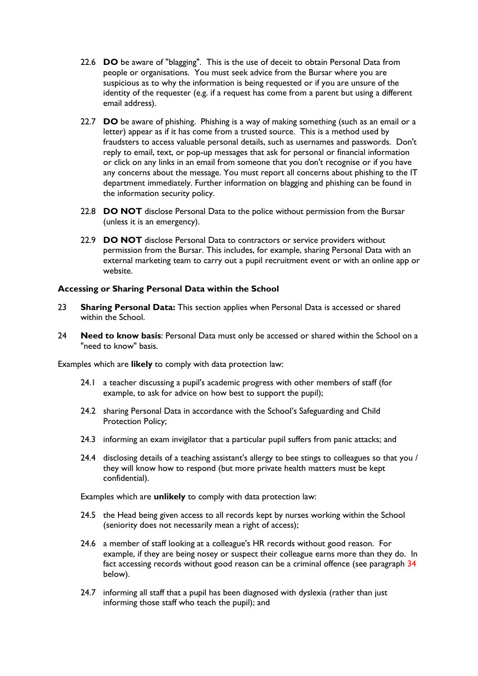- 22.6 **DO** be aware of "blagging". This is the use of deceit to obtain Personal Data from people or organisations. You must seek advice from the Bursar where you are suspicious as to why the information is being requested or if you are unsure of the identity of the requester (e.g. if a request has come from a parent but using a different email address).
- 22.7 **DO** be aware of phishing. Phishing is a way of making something (such as an email or a letter) appear as if it has come from a trusted source. This is a method used by fraudsters to access valuable personal details, such as usernames and passwords. Don't reply to email, text, or pop-up messages that ask for personal or financial information or click on any links in an email from someone that you don't recognise or if you have any concerns about the message. You must report all concerns about phishing to the IT department immediately. Further information on blagging and phishing can be found in the information security policy.
- 22.8 **DO NOT** disclose Personal Data to the police without permission from the Bursar (unless it is an emergency).
- 22.9 **DO NOT** disclose Personal Data to contractors or service providers without permission from the Bursar. This includes, for example, sharing Personal Data with an external marketing team to carry out a pupil recruitment event or with an online app or website.

## **Accessing or Sharing Personal Data within the School**

- 23 **Sharing Personal Data:** This section applies when Personal Data is accessed or shared within the School.
- 24 **Need to know basis**: Personal Data must only be accessed or shared within the School on a "need to know" basis.

Examples which are **likely** to comply with data protection law:

- 24.1 a teacher discussing a pupil's academic progress with other members of staff (for example, to ask for advice on how best to support the pupil);
- 24.2 sharing Personal Data in accordance with the School's Safeguarding and Child Protection Policy;
- 24.3 informing an exam invigilator that a particular pupil suffers from panic attacks; and
- 24.4 disclosing details of a teaching assistant's allergy to bee stings to colleagues so that you / they will know how to respond (but more private health matters must be kept confidential).

Examples which are **unlikely** to comply with data protection law:

- 24.5 the Head being given access to all records kept by nurses working within the School (seniority does not necessarily mean a right of access);
- 24.6 a member of staff looking at a colleague's HR records without good reason. For example, if they are being nosey or suspect their colleague earns more than they do. In fact accessing records without good reason can be a criminal offence (see paragraph 34 below).
- 24.7 informing all staff that a pupil has been diagnosed with dyslexia (rather than just informing those staff who teach the pupil); and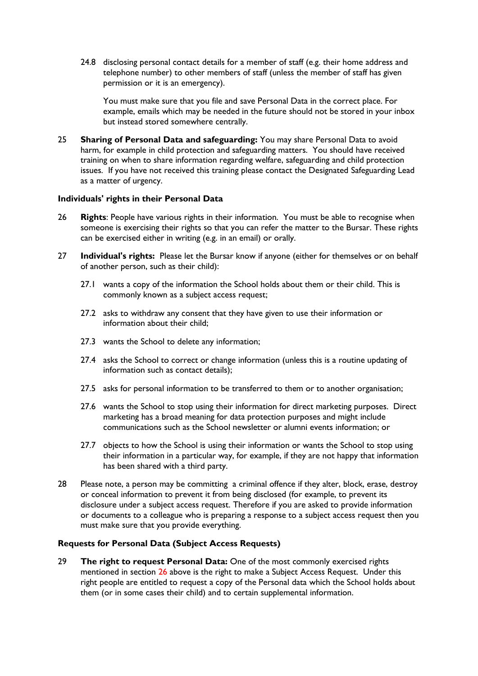24.8 disclosing personal contact details for a member of staff (e.g. their home address and telephone number) to other members of staff (unless the member of staff has given permission or it is an emergency).

You must make sure that you file and save Personal Data in the correct place. For example, emails which may be needed in the future should not be stored in your inbox but instead stored somewhere centrally.

25 **Sharing of Personal Data and safeguarding:** You may share Personal Data to avoid harm, for example in child protection and safeguarding matters. You should have received training on when to share information regarding welfare, safeguarding and child protection issues. If you have not received this training please contact the Designated Safeguarding Lead as a matter of urgency.

### **Individuals' rights in their Personal Data**

- 26 **Rights**: People have various rights in their information. You must be able to recognise when someone is exercising their rights so that you can refer the matter to the Bursar. These rights can be exercised either in writing (e.g. in an email) or orally.
- 27 **Individual's rights:** Please let the Bursar know if anyone (either for themselves or on behalf of another person, such as their child):
	- 27.1 wants a copy of the information the School holds about them or their child. This is commonly known as a subject access request;
	- 27.2 asks to withdraw any consent that they have given to use their information or information about their child;
	- 27.3 wants the School to delete any information;
	- 27.4 asks the School to correct or change information (unless this is a routine updating of information such as contact details);
	- 27.5 asks for personal information to be transferred to them or to another organisation;
	- 27.6 wants the School to stop using their information for direct marketing purposes. Direct marketing has a broad meaning for data protection purposes and might include communications such as the School newsletter or alumni events information; or
	- 27.7 objects to how the School is using their information or wants the School to stop using their information in a particular way, for example, if they are not happy that information has been shared with a third party.
- 28 Please note, a person may be committing a criminal offence if they alter, block, erase, destroy or conceal information to prevent it from being disclosed (for example, to prevent its disclosure under a subject access request. Therefore if you are asked to provide information or documents to a colleague who is preparing a response to a subject access request then you must make sure that you provide everything.

## **Requests for Personal Data (Subject Access Requests)**

29 **The right to request Personal Data:** One of the most commonly exercised rights mentioned in section 26 above is the right to make a Subject Access Request. Under this right people are entitled to request a copy of the Personal data which the School holds about them (or in some cases their child) and to certain supplemental information.